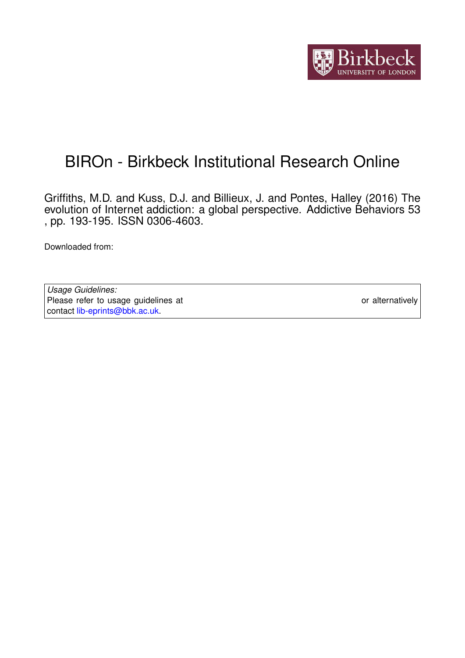

## BIROn - Birkbeck Institutional Research Online

Griffiths, M.D. and Kuss, D.J. and Billieux, J. and Pontes, Halley (2016) The evolution of Internet addiction: a global perspective. Addictive Behaviors 53 , pp. 193-195. ISSN 0306-4603.

Downloaded from: <https://eprints.bbk.ac.uk/id/eprint/43463/>

*Usage Guidelines:* Please refer to usage guidelines at <https://eprints.bbk.ac.uk/policies.html> or alternatively contact [lib-eprints@bbk.ac.uk.](mailto:lib-eprints@bbk.ac.uk)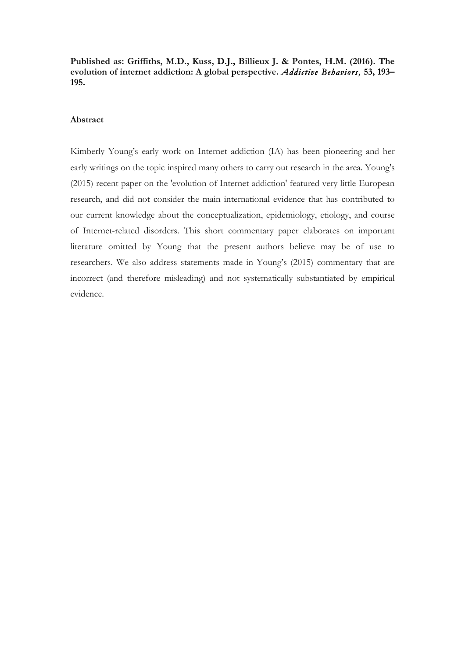**Published as: Griffiths, M.D., Kuss, D.J., Billieux J. & Pontes, H.M. (2016). The evolution of internet addiction: A global perspective.** *Addictive Behaviors,* **53, 193– 195.**

## **Abstract**

Kimberly Young's early work on Internet addiction (IA) has been pioneering and her early writings on the topic inspired many others to carry out research in the area. Young's (2015) recent paper on the 'evolution of Internet addiction' featured very little European research, and did not consider the main international evidence that has contributed to our current knowledge about the conceptualization, epidemiology, etiology, and course of Internet-related disorders. This short commentary paper elaborates on important literature omitted by Young that the present authors believe may be of use to researchers. We also address statements made in Young's (2015) commentary that are incorrect (and therefore misleading) and not systematically substantiated by empirical evidence.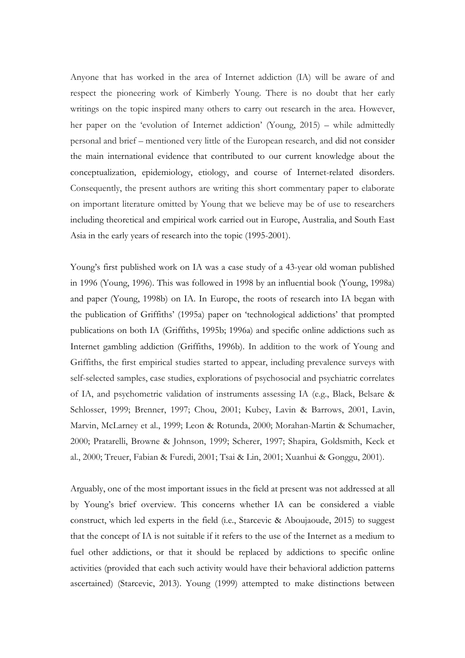Anyone that has worked in the area of Internet addiction (IA) will be aware of and respect the pioneering work of Kimberly Young. There is no doubt that her early writings on the topic inspired many others to carry out research in the area. However, her paper on the 'evolution of Internet addiction' (Young, 2015) – while admittedly personal and brief – mentioned very little of the European research, and did not consider the main international evidence that contributed to our current knowledge about the conceptualization, epidemiology, etiology, and course of Internet-related disorders. Consequently, the present authors are writing this short commentary paper to elaborate on important literature omitted by Young that we believe may be of use to researchers including theoretical and empirical work carried out in Europe, Australia, and South East Asia in the early years of research into the topic (1995-2001).

Young's first published work on IA was a case study of a 43-year old woman published in 1996 (Young, 1996). This was followed in 1998 by an influential book (Young, 1998a) and paper (Young, 1998b) on IA. In Europe, the roots of research into IA began with the publication of Griffiths' (1995a) paper on 'technological addictions' that prompted publications on both IA (Griffiths, 1995b; 1996a) and specific online addictions such as Internet gambling addiction (Griffiths, 1996b). In addition to the work of Young and Griffiths, the first empirical studies started to appear, including prevalence surveys with self-selected samples, case studies, explorations of psychosocial and psychiatric correlates of IA, and psychometric validation of instruments assessing IA (e.g., Black, Belsare & Schlosser, 1999; Brenner, 1997; Chou, 2001; Kubey, Lavin & Barrows, 2001, Lavin, Marvin, McLarney et al., 1999; Leon & Rotunda, 2000; Morahan-Martin & Schumacher, 2000; Pratarelli, Browne & Johnson, 1999; Scherer, 1997; Shapira, Goldsmith, Keck et al., 2000; Treuer, Fabian & Furedi, 2001; Tsai & Lin, 2001; Xuanhui & Gonggu, 2001).

Arguably, one of the most important issues in the field at present was not addressed at all by Young's brief overview. This concerns whether IA can be considered a viable construct, which led experts in the field (i.e., Starcevic & Aboujaoude, 2015) to suggest that the concept of IA is not suitable if it refers to the use of the Internet as a medium to fuel other addictions, or that it should be replaced by addictions to specific online activities (provided that each such activity would have their behavioral addiction patterns ascertained) (Starcevic, 2013). Young (1999) attempted to make distinctions between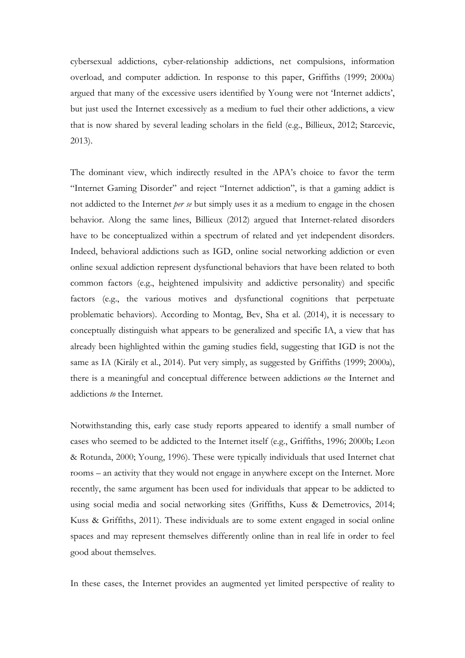cybersexual addictions, cyber-relationship addictions, net compulsions, information overload, and computer addiction. In response to this paper, Griffiths (1999; 2000a) argued that many of the excessive users identified by Young were not 'Internet addicts', but just used the Internet excessively as a medium to fuel their other addictions, a view that is now shared by several leading scholars in the field (e.g., Billieux, 2012; Starcevic, 2013).

The dominant view, which indirectly resulted in the APA's choice to favor the term "Internet Gaming Disorder" and reject "Internet addiction", is that a gaming addict is not addicted to the Internet *per se* but simply uses it as a medium to engage in the chosen behavior. Along the same lines, Billieux (2012) argued that Internet-related disorders have to be conceptualized within a spectrum of related and yet independent disorders. Indeed, behavioral addictions such as IGD, online social networking addiction or even online sexual addiction represent dysfunctional behaviors that have been related to both common factors (e.g., heightened impulsivity and addictive personality) and specific factors (e.g., the various motives and dysfunctional cognitions that perpetuate problematic behaviors). According to Montag, Bev, Sha et al. (2014), it is necessary to conceptually distinguish what appears to be generalized and specific IA, a view that has already been highlighted within the gaming studies field, suggesting that IGD is not the same as IA (Király et al., 2014). Put very simply, as suggested by Griffiths (1999; 2000a), there is a meaningful and conceptual difference between addictions *on* the Internet and addictions *to* the Internet.

Notwithstanding this, early case study reports appeared to identify a small number of cases who seemed to be addicted to the Internet itself (e.g., Griffiths, 1996; 2000b; Leon & Rotunda, 2000; Young, 1996). These were typically individuals that used Internet chat rooms – an activity that they would not engage in anywhere except on the Internet. More recently, the same argument has been used for individuals that appear to be addicted to using social media and social networking sites (Griffiths, Kuss & Demetrovics, 2014; Kuss & Griffiths, 2011). These individuals are to some extent engaged in social online spaces and may represent themselves differently online than in real life in order to feel good about themselves.

In these cases, the Internet provides an augmented yet limited perspective of reality to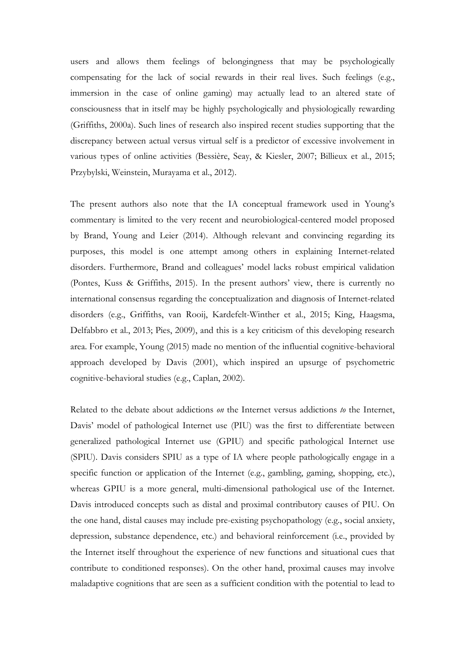users and allows them feelings of belongingness that may be psychologically compensating for the lack of social rewards in their real lives. Such feelings (e.g., immersion in the case of online gaming) may actually lead to an altered state of consciousness that in itself may be highly psychologically and physiologically rewarding (Griffiths, 2000a). Such lines of research also inspired recent studies supporting that the discrepancy between actual versus virtual self is a predictor of excessive involvement in various types of online activities (Bessière, Seay, & Kiesler, 2007; Billieux et al., 2015; Przybylski, Weinstein, Murayama et al., 2012).

The present authors also note that the IA conceptual framework used in Young's commentary is limited to the very recent and neurobiological-centered model proposed by Brand, Young and Leier (2014). Although relevant and convincing regarding its purposes, this model is one attempt among others in explaining Internet-related disorders. Furthermore, Brand and colleagues' model lacks robust empirical validation (Pontes, Kuss & Griffiths, 2015). In the present authors' view, there is currently no international consensus regarding the conceptualization and diagnosis of Internet-related disorders (e.g., Griffiths, van Rooij, Kardefelt-Winther et al., 2015; King, Haagsma, Delfabbro et al., 2013; Pies, 2009), and this is a key criticism of this developing research area. For example, Young (2015) made no mention of the influential cognitive-behavioral approach developed by Davis (2001), which inspired an upsurge of psychometric cognitive-behavioral studies (e.g., Caplan, 2002).

Related to the debate about addictions *on* the Internet versus addictions *to* the Internet, Davis' model of pathological Internet use (PIU) was the first to differentiate between generalized pathological Internet use (GPIU) and specific pathological Internet use (SPIU). Davis considers SPIU as a type of IA where people pathologically engage in a specific function or application of the Internet (e.g., gambling, gaming, shopping, etc.), whereas GPIU is a more general, multi-dimensional pathological use of the Internet. Davis introduced concepts such as distal and proximal contributory causes of PIU. On the one hand, distal causes may include pre-existing psychopathology (e.g., social anxiety, depression, substance dependence, etc.) and behavioral reinforcement (i.e., provided by the Internet itself throughout the experience of new functions and situational cues that contribute to conditioned responses). On the other hand, proximal causes may involve maladaptive cognitions that are seen as a sufficient condition with the potential to lead to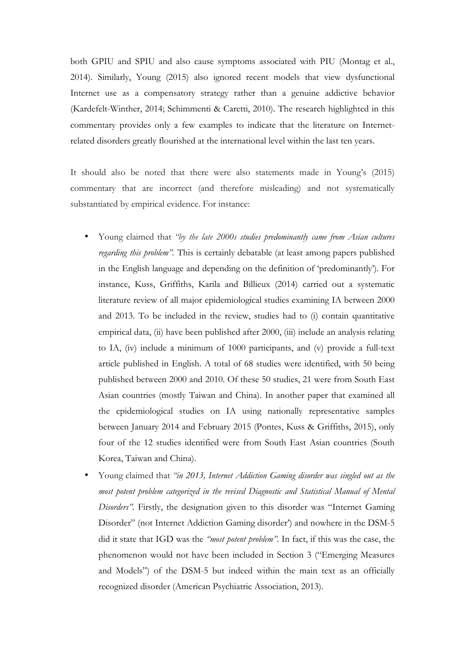both GPIU and SPIU and also cause symptoms associated with PIU (Montag et al., 2014). Similarly, Young (2015) also ignored recent models that view dysfunctional Internet use as a compensatory strategy rather than a genuine addictive behavior (Kardefelt-Winther, 2014; Schimmenti & Caretti, 2010). The research highlighted in this commentary provides only a few examples to indicate that the literature on Internetrelated disorders greatly flourished at the international level within the last ten years.

It should also be noted that there were also statements made in Young's (2015) commentary that are incorrect (and therefore misleading) and not systematically substantiated by empirical evidence. For instance:

- Young claimed that *"by the late 2000s studies predominantly came from Asian cultures regarding this problem".* This is certainly debatable (at least among papers published in the English language and depending on the definition of 'predominantly'). For instance, Kuss, Griffiths, Karila and Billieux (2014) carried out a systematic literature review of all major epidemiological studies examining IA between 2000 and 2013. To be included in the review, studies had to (i) contain quantitative empirical data, (ii) have been published after 2000, (iii) include an analysis relating to IA, (iv) include a minimum of 1000 participants, and (v) provide a full-text article published in English. A total of 68 studies were identified, with 50 being published between 2000 and 2010. Of these 50 studies, 21 were from South East Asian countries (mostly Taiwan and China). In another paper that examined all the epidemiological studies on IA using nationally representative samples between January 2014 and February 2015 (Pontes, Kuss & Griffiths, 2015), only four of the 12 studies identified were from South East Asian countries (South Korea, Taiwan and China).
- Young claimed that *"in 2013, Internet Addiction Gaming disorder was singled out as the most potent problem categorized in the revised Diagnostic and Statistical Manual of Mental Disorders".* Firstly, the designation given to this disorder was "Internet Gaming Disorder" (not Internet Addiction Gaming disorder') and nowhere in the DSM-5 did it state that IGD was the *"most potent problem"*. In fact, if this was the case, the phenomenon would not have been included in Section 3 ("Emerging Measures and Models") of the DSM-5 but indeed within the main text as an officially recognized disorder (American Psychiatric Association, 2013).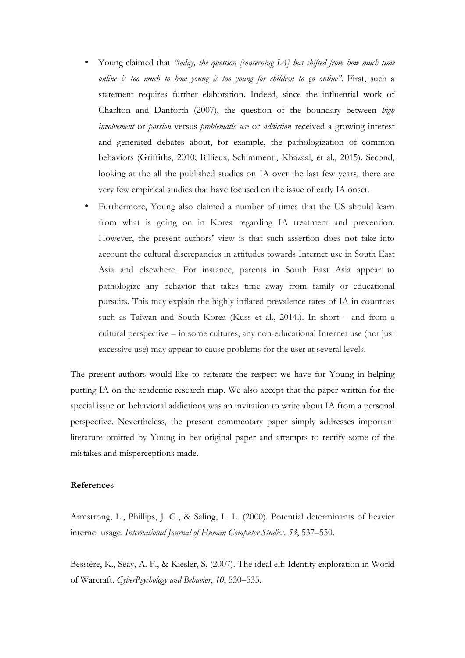- Young claimed that *"today, the question [concerning IA] has shifted from how much time online is too much to how young is too young for children to go online".* First, such a statement requires further elaboration. Indeed, since the influential work of Charlton and Danforth (2007), the question of the boundary between *high involvement* or *passion* versus *problematic use* or *addiction* received a growing interest and generated debates about, for example, the pathologization of common behaviors (Griffiths, 2010; Billieux, Schimmenti, Khazaal, et al., 2015). Second, looking at the all the published studies on IA over the last few years, there are very few empirical studies that have focused on the issue of early IA onset.
- Furthermore, Young also claimed a number of times that the US should learn from what is going on in Korea regarding IA treatment and prevention. However, the present authors' view is that such assertion does not take into account the cultural discrepancies in attitudes towards Internet use in South East Asia and elsewhere. For instance, parents in South East Asia appear to pathologize any behavior that takes time away from family or educational pursuits. This may explain the highly inflated prevalence rates of IA in countries such as Taiwan and South Korea (Kuss et al., 2014.). In short – and from a cultural perspective – in some cultures, any non-educational Internet use (not just excessive use) may appear to cause problems for the user at several levels.

The present authors would like to reiterate the respect we have for Young in helping putting IA on the academic research map. We also accept that the paper written for the special issue on behavioral addictions was an invitation to write about IA from a personal perspective. Nevertheless, the present commentary paper simply addresses important literature omitted by Young in her original paper and attempts to rectify some of the mistakes and misperceptions made.

## **References**

Armstrong, L., Phillips, J. G., & Saling, L. L. (2000). Potential determinants of heavier internet usage. *International Journal of Human Computer Studies, 53*, 537–550.

Bessière, K., Seay, A. F., & Kiesler, S. (2007). The ideal elf: Identity exploration in World of Warcraft. *CyberPsychology and Behavior*, *10*, 530–535.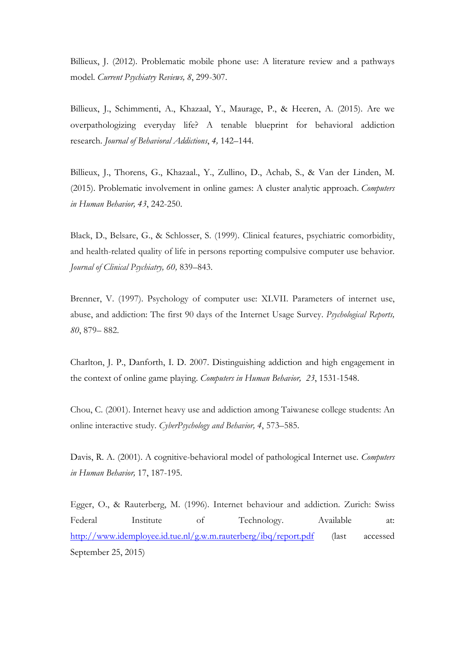Billieux, J. (2012). Problematic mobile phone use: A literature review and a pathways model. *Current Psychiatry Reviews, 8*, 299-307.

Billieux, J., Schimmenti, A., Khazaal, Y., Maurage, P., & Heeren, A. (2015). Are we overpathologizing everyday life? A tenable blueprint for behavioral addiction research. *Journal of Behavioral Addictions*, *4,* 142–144.

Billieux, J., Thorens, G., Khazaal., Y., Zullino, D., Achab, S., & Van der Linden, M. (2015). Problematic involvement in online games: A cluster analytic approach. *Computers in Human Behavior, 43*, 242-250.

Black, D., Belsare, G., & Schlosser, S. (1999). Clinical features, psychiatric comorbidity, and health-related quality of life in persons reporting compulsive computer use behavior. *Journal of Clinical Psychiatry, 60,* 839–843.

Brenner, V. (1997). Psychology of computer use: XLVII. Parameters of internet use, abuse, and addiction: The first 90 days of the Internet Usage Survey. *Psychological Reports, 80*, 879– 882.

Charlton, J. P., Danforth, I. D. 2007. Distinguishing addiction and high engagement in the context of online game playing. *Computers in Human Behavior, 23*, 1531-1548.

Chou, C. (2001). Internet heavy use and addiction among Taiwanese college students: An online interactive study. *CyberPsychology and Behavior, 4*, 573–585.

Davis, R. A. (2001). A cognitive-behavioral model of pathological Internet use. *Computers in Human Behavior,* 17, 187-195.

Egger, O., & Rauterberg, M. (1996). Internet behaviour and addiction. Zurich: Swiss Federal Institute of Technology. Available at: http://www.idemployee.id.tue.nl/g.w.m.rauterberg/ibq/report.pdf (last accessed September 25, 2015)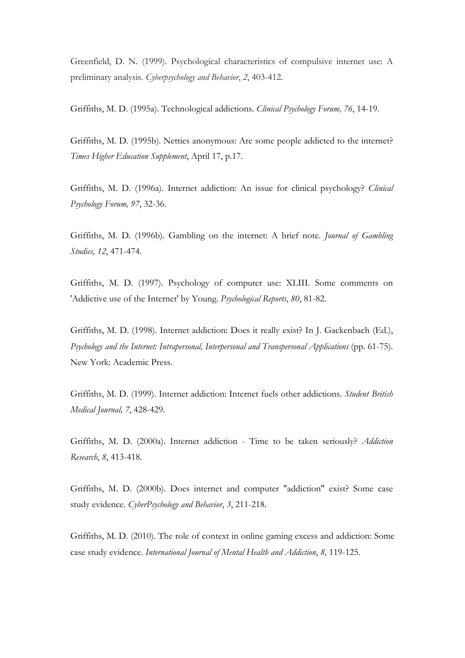Greenfield, D. N. (1999). Psychological characteristics of compulsive internet use: A preliminary analysis. *Cyberpsychology and Behavior*, *2*, 403-412.

Griffiths, M. D. (1995a). Technological addictions. *Clinical Psychology Forum, 76*, 14-19.

Griffiths, M. D. (1995b). Netties anonymous: Are some people addicted to the internet? *Times Higher Education Supplement*, April 17, p.17.

Griffiths, M. D. (1996a). Internet addiction: An issue for clinical psychology? *Clinical Psychology Forum, 97*, 32-36.

Griffiths, M. D. (1996b). Gambling on the internet: A brief note. *Journal of Gambling Studies, 12*, 471-474.

Griffiths, M. D. (1997). Psychology of computer use: XLIII. Some comments on 'Addictive use of the Internet' by Young. *Psychological Reports*, *80*, 81-82.

Griffiths, M. D. (1998). Internet addiction: Does it really exist? In J. Gackenbach (Ed.), *Psychology and the Internet: Intrapersonal, Interpersonal and Transpersonal Applications* (pp. 61-75). New York: Academic Press.

Griffiths, M. D. (1999). Internet addiction: Internet fuels other addictions. *Student British Medical Journal, 7*, 428-429.

Griffiths, M. D. (2000a). Internet addiction - Time to be taken seriously? *Addiction Research*, *8*, 413-418.

Griffiths, M. D. (2000b). Does internet and computer "addiction" exist? Some case study evidence. *CyberPsychology and Behavior*, *3*, 211-218.

Griffiths, M. D. (2010). The role of context in online gaming excess and addiction: Some case study evidence. *International Journal of Mental Health and Addiction*, *8,* 119-125.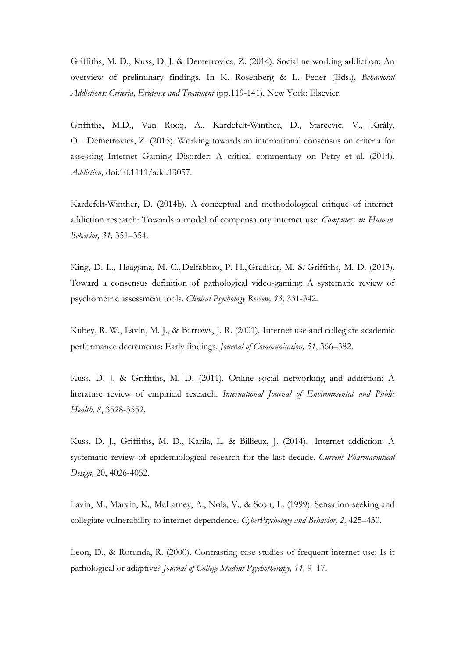Griffiths, M. D., Kuss, D. J. & Demetrovics, Z. (2014). Social networking addiction: An overview of preliminary findings. In K. Rosenberg & L. Feder (Eds.), *Behavioral Addictions: Criteria, Evidence and Treatment* (pp.119-141). New York: Elsevier.

Griffiths, M.D., Van Rooij, A., Kardefelt-Winther, D., Starcevic, V., Király, O…Demetrovics, Z. (2015). Working towards an international consensus on criteria for assessing Internet Gaming Disorder: A critical commentary on Petry et al. (2014). *Addiction,* doi:10.1111/add.13057.

Kardefelt-Winther, D. (2014b). A conceptual and methodological critique of internet addiction research: Towards a model of compensatory internet use. *Computers in Human Behavior, 31,* 351–354.

King, D. L., Haagsma, M. C., Delfabbro, P. H., Gradisar, M. S. Griffiths, M. D. (2013). Toward a consensus definition of pathological video-gaming: A systematic review of psychometric assessment tools. *Clinical Psychology Review, 33,* 331-342.

Kubey, R. W., Lavin, M. J., & Barrows, J. R. (2001). Internet use and collegiate academic performance decrements: Early findings. *Journal of Communication, 51*, 366–382.

Kuss, D. J. & Griffiths, M. D. (2011). Online social networking and addiction: A literature review of empirical research. *International Journal of Environmental and Public Health, 8*, 3528-3552.

Kuss, D. J., Griffiths, M. D., Karila, L. & Billieux, J. (2014). Internet addiction: A systematic review of epidemiological research for the last decade. *Current Pharmaceutical Design,* 20, 4026-4052.

Lavin, M., Marvin, K., McLarney, A., Nola, V., & Scott, L. (1999). Sensation seeking and collegiate vulnerability to internet dependence. *CyberPsychology and Behavior, 2,* 425–430.

Leon, D., & Rotunda, R. (2000). Contrasting case studies of frequent internet use: Is it pathological or adaptive? *Journal of College Student Psychotherapy, 14,* 9–17.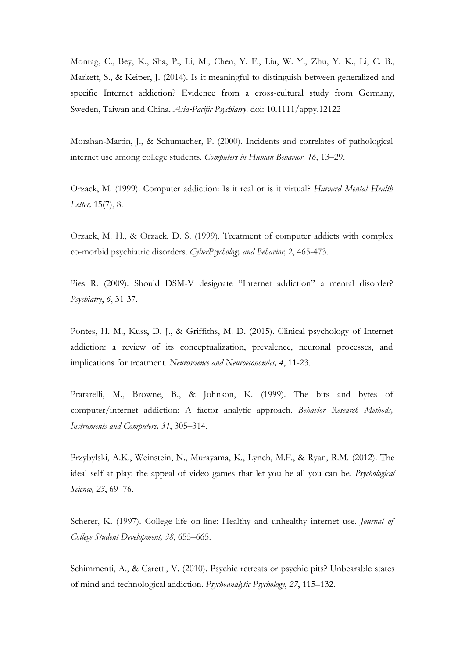Montag, C., Bey, K., Sha, P., Li, M., Chen, Y. F., Liu, W. Y., Zhu, Y. K., Li, C. B., Markett, S., & Keiper, J. (2014). Is it meaningful to distinguish between generalized and specific Internet addiction? Evidence from a cross-cultural study from Germany, Sweden, Taiwan and China. *Asia*-*Pacific Psychiatry*. doi: 10.1111/appy.12122

Morahan-Martin, J., & Schumacher, P. (2000). Incidents and correlates of pathological internet use among college students. *Computers in Human Behavior, 16*, 13–29.

Orzack, M. (1999). Computer addiction: Is it real or is it virtual? *Harvard Mental Health Letter,* 15(7), 8.

Orzack, M. H., & Orzack, D. S. (1999). Treatment of computer addicts with complex co-morbid psychiatric disorders. *CyberPsychology and Behavior,* 2, 465-473.

Pies R. (2009). Should DSM-V designate "Internet addiction" a mental disorder? *Psychiatry*, *6*, 31-37.

Pontes, H. M., Kuss, D. J., & Griffiths, M. D. (2015). Clinical psychology of Internet addiction: a review of its conceptualization, prevalence, neuronal processes, and implications for treatment. *Neuroscience and Neuroeconomics, 4*, 11-23.

Pratarelli, M., Browne, B., & Johnson, K. (1999). The bits and bytes of computer/internet addiction: A factor analytic approach. *Behavior Research Methods, Instruments and Computers, 31*, 305–314.

Przybylski, A.K., Weinstein, N., Murayama, K., Lynch, M.F., & Ryan, R.M. (2012). The ideal self at play: the appeal of video games that let you be all you can be. *Psychological Science, 23*, 69–76.

Scherer, K. (1997). College life on-line: Healthy and unhealthy internet use. *Journal of College Student Development, 38*, 655–665.

Schimmenti, A., & Caretti, V. (2010). Psychic retreats or psychic pits? Unbearable states of mind and technological addiction. *Psychoanalytic Psychology*, *27*, 115–132.